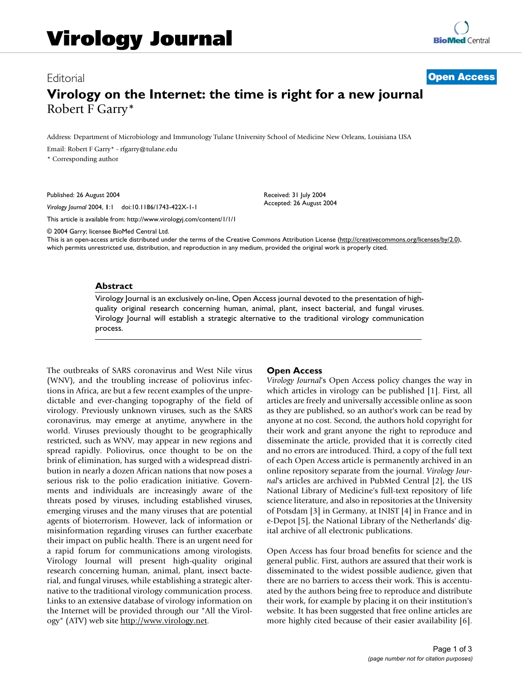# Editorial **[Open Access](http://www.biomedcentral.com/info/about/charter/) Virology on the Internet: the time is right for a new journal** Robert F Garry\*

Address: Department of Microbiology and Immunology Tulane University School of Medicine New Orleans, Louisiana USA

Email: Robert F Garry\* - rfgarry@tulane.edu

\* Corresponding author

Published: 26 August 2004

*Virology Journal* 2004, **1**:1 doi:10.1186/1743-422X-1-1

[This article is available from: http://www.virologyj.com/content/1/1/1](http://www.virologyj.com/content/1/1/1)

© 2004 Garry; licensee BioMed Central Ltd.

This is an open-access article distributed under the terms of the Creative Commons Attribution License (<http://creativecommons.org/licenses/by/2.0>), which permits unrestricted use, distribution, and reproduction in any medium, provided the original work is properly cited.

### **Abstract**

Virology Journal is an exclusively on-line, Open Access journal devoted to the presentation of highquality original research concerning human, animal, plant, insect bacterial, and fungal viruses. Virology Journal will establish a strategic alternative to the traditional virology communication process.

The outbreaks of SARS coronavirus and West Nile virus (WNV), and the troubling increase of poliovirus infections in Africa, are but a few recent examples of the unpredictable and ever-changing topography of the field of virology. Previously unknown viruses, such as the SARS coronavirus, may emerge at anytime, anywhere in the world. Viruses previously thought to be geographically restricted, such as WNV, may appear in new regions and spread rapidly. Poliovirus, once thought to be on the brink of elimination, has surged with a widespread distribution in nearly a dozen African nations that now poses a serious risk to the polio eradication initiative. Governments and individuals are increasingly aware of the threats posed by viruses, including established viruses, emerging viruses and the many viruses that are potential agents of bioterrorism. However, lack of information or misinformation regarding viruses can further exacerbate their impact on public health. There is an urgent need for a rapid forum for communications among virologists. Virology Journal will present high-quality original research concerning human, animal, plant, insect bacterial, and fungal viruses, while establishing a strategic alternative to the traditional virology communication process. Links to an extensive database of virology information on the Internet will be provided through our "All the Virology" (ATV) web site [http://www.virology.net.](http://www.virology.net)

#### **Open Access**

Received: 31 July 2004 Accepted: 26 August 2004

*Virology Journal*'s Open Access policy changes the way in which articles in virology can be published [1]. First, all articles are freely and universally accessible online as soon as they are published, so an author's work can be read by anyone at no cost. Second, the authors hold copyright for their work and grant anyone the right to reproduce and disseminate the article, provided that it is correctly cited and no errors are introduced. Third, a copy of the full text of each Open Access article is permanently archived in an online repository separate from the journal. *Virology Journal*'s articles are archived in PubMed Central [2], the US National Library of Medicine's full-text repository of life science literature, and also in repositories at the University of Potsdam [3] in Germany, at INIST [4] in France and in e-Depot [5], the National Library of the Netherlands' digital archive of all electronic publications.

Open Access has four broad benefits for science and the general public. First, authors are assured that their work is disseminated to the widest possible audience, given that there are no barriers to access their work. This is accentuated by the authors being free to reproduce and distribute their work, for example by placing it on their institution's website. It has been suggested that free online articles are more highly cited because of their easier availability [6].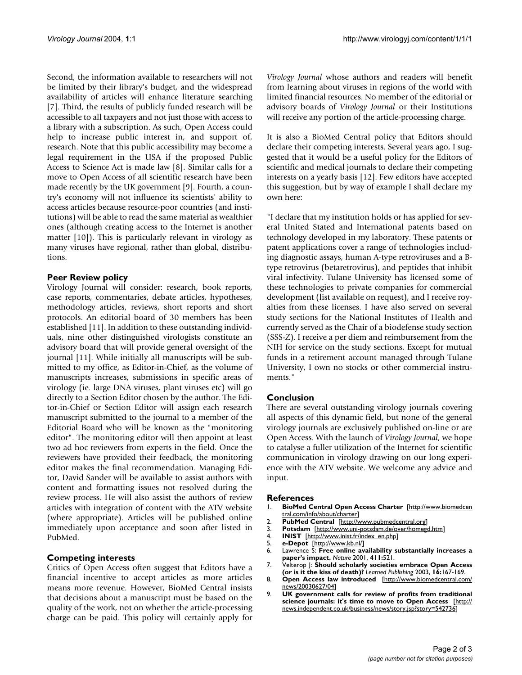Second, the information available to researchers will not be limited by their library's budget, and the widespread availability of articles will enhance literature searching [7]. Third, the results of publicly funded research will be accessible to all taxpayers and not just those with access to a library with a subscription. As such, Open Access could help to increase public interest in, and support of, research. Note that this public accessibility may become a legal requirement in the USA if the proposed Public Access to Science Act is made law [8]. Similar calls for a move to Open Access of all scientific research have been made recently by the UK government [9]. Fourth, a country's economy will not influence its scientists' ability to access articles because resource-poor countries (and institutions) will be able to read the same material as wealthier ones (although creating access to the Internet is another matter [10]). This is particularly relevant in virology as many viruses have regional, rather than global, distributions.

# **Peer Review policy**

Virology Journal will consider: research, book reports, case reports, commentaries, debate articles, hypotheses, methodology articles, reviews, short reports and short protocols. An editorial board of 30 members has been established [11]. In addition to these outstanding individuals, nine other distinguished virologists constitute an advisory board that will provide general oversight of the journal [11]. While initially all manuscripts will be submitted to my office, as Editor-in-Chief, as the volume of manuscripts increases, submissions in specific areas of virology (ie. large DNA viruses, plant viruses etc) will go directly to a Section Editor chosen by the author. The Editor-in-Chief or Section Editor will assign each research manuscript submitted to the journal to a member of the Editorial Board who will be known as the "monitoring editor". The monitoring editor will then appoint at least two ad hoc reviewers from experts in the field. Once the reviewers have provided their feedback, the monitoring editor makes the final recommendation. Managing Editor, David Sander will be available to assist authors with content and formatting issues not resolved during the review process. He will also assist the authors of review articles with integration of content with the ATV website (where appropriate). Articles will be published online immediately upon acceptance and soon after listed in PubMed.

## **Competing interests**

Critics of Open Access often suggest that Editors have a financial incentive to accept articles as more articles means more revenue. However, BioMed Central insists that decisions about a manuscript must be based on the quality of the work, not on whether the article-processing charge can be paid. This policy will certainly apply for *Virology Journal* whose authors and readers will benefit from learning about viruses in regions of the world with limited financial resources. No member of the editorial or advisory boards of *Virology Journal* or their Institutions will receive any portion of the article-processing charge.

It is also a BioMed Central policy that Editors should declare their competing interests. Several years ago, I suggested that it would be a useful policy for the Editors of scientific and medical journals to declare their competing interests on a yearly basis [12]. Few editors have accepted this suggestion, but by way of example I shall declare my own here:

"I declare that my institution holds or has applied for several United Stated and International patents based on technology developed in my laboratory. These patents or patent applications cover a range of technologies including diagnostic assays, human A-type retroviruses and a Btype retrovirus (betaretrovirus), and peptides that inhibit viral infectivity. Tulane University has licensed some of these technologies to private companies for commercial development (list available on request), and I receive royalties from these licenses. I have also served on several study sections for the National Institutes of Health and currently served as the Chair of a biodefense study section (SSS-Z). I receive a per diem and reimbursement from the NIH for service on the study sections. Except for mutual funds in a retirement account managed through Tulane University, I own no stocks or other commercial instruments."

## **Conclusion**

There are several outstanding virology journals covering all aspects of this dynamic field, but none of the general virology journals are exclusively published on-line or are Open Access. With the launch of *Virology Journal*, we hope to catalyse a fuller utilization of the Internet for scientific communication in virology drawing on our long experience with the ATV website. We welcome any advice and input.

## **References**

- 1. **BioMed Central Open Access Charter** [[http://www.biomedcen](http://www.biomedcentral.com/info/about/charter) [tral.com/info/about/charter](http://www.biomedcentral.com/info/about/charter)]
- 2. **PubMed Central** [<http://www.pubmedcentral.org>]<br>3. **Potsdam** [http://www.uni-potsdam.de/over/homeg
- 3. **Potsdam** [\[http://www.uni-potsdam.de/over/homegd.htm\]](http://www.uni-potsdam.de/over/homegd.htm)<br>4. **INIST** [http://www.inist.fr/index en.php]
- 4. **INIST** [[http://www.inist.fr/index\\_en.php](http://www.inist.fr/index_en.php)]
- 5. **e-Depot** [[http://www.kb.nl/\]](http://www.kb.nl/)
- 6. Lawrence S: **[Free online availability substantially increases a](http://www.ncbi.nlm.nih.gov/entrez/query.fcgi?cmd=Retrieve&db=PubMed&dopt=Abstract&list_uids=10.1038/35079151) [paper's impact](http://www.ncbi.nlm.nih.gov/entrez/query.fcgi?cmd=Retrieve&db=PubMed&dopt=Abstract&list_uids=10.1038/35079151)[.](http://www.ncbi.nlm.nih.gov/entrez/query.fcgi?cmd=Retrieve&db=PubMed&dopt=Abstract&list_uids=11385534)** *Nature* 2001, **411:**521.
- 7. Velterop J: **[Should scholarly societies embrace Open Access](http://www.ncbi.nlm.nih.gov/entrez/query.fcgi?cmd=Retrieve&db=PubMed&dopt=Abstract&list_uids=10.1087/095315103322110932) [\(or is it the kiss of death\)?](http://www.ncbi.nlm.nih.gov/entrez/query.fcgi?cmd=Retrieve&db=PubMed&dopt=Abstract&list_uids=10.1087/095315103322110932)** *Learned Publishing* 2003, **16:**167-169.
- 8. **Open Access law introduced** [[http://www.biomedcentral.com/](http://www.biomedcentral.com/news/20030627/04) [news/20030627/04](http://www.biomedcentral.com/news/20030627/04)]
- 9. **UK government calls for review of profits from traditional science journals: it's time to move to Open Access** [\[http://](http://news.independent.co.uk/business/news/story.jsp?story=542736) [news.independent.co.uk/business/news/story.jsp?story=542736\]](http://news.independent.co.uk/business/news/story.jsp?story=542736)